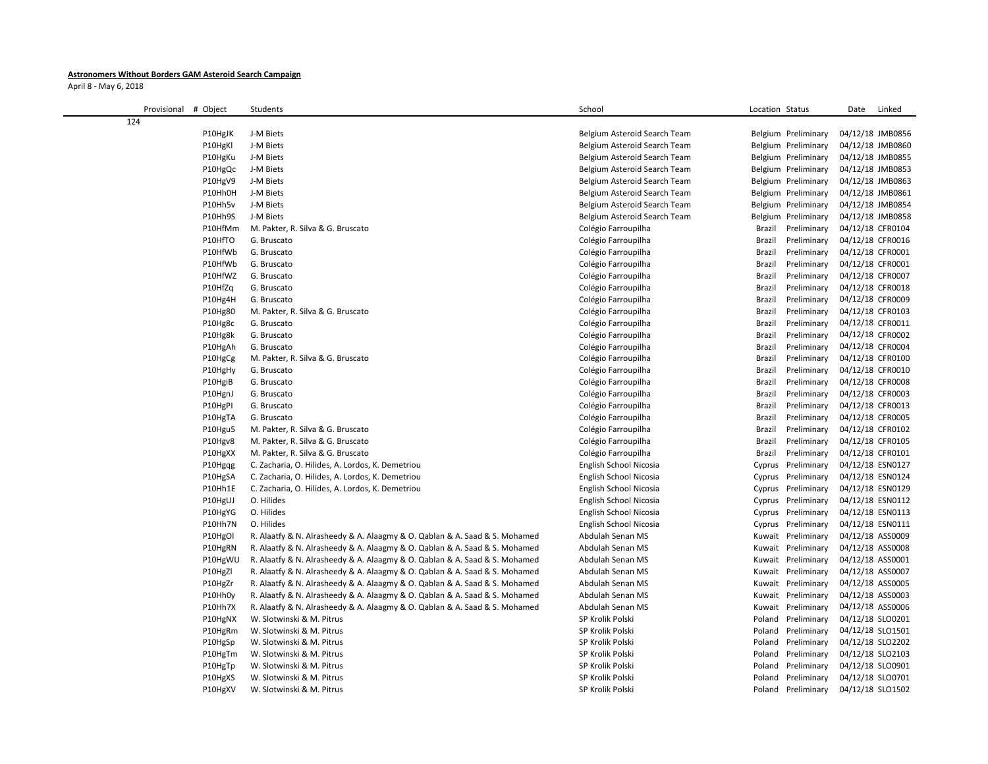## **Astronomers Without Borders GAM Asteroid Search Campaign**

April 8 - May 6, 2018

| Provisional # Object | Students                                                                                                                                                 | School                               | Location Status                          | Linked<br>Date                       |
|----------------------|----------------------------------------------------------------------------------------------------------------------------------------------------------|--------------------------------------|------------------------------------------|--------------------------------------|
| 124                  |                                                                                                                                                          |                                      |                                          |                                      |
| P10HgJK              | J-M Biets                                                                                                                                                | Belgium Asteroid Search Team         | Belgium Preliminary                      | 04/12/18 JMB0856                     |
| P10HgKI              | J-M Biets                                                                                                                                                | Belgium Asteroid Search Team         | Belgium Preliminary                      | 04/12/18 JMB0860                     |
| P10HgKu              | J-M Biets                                                                                                                                                | Belgium Asteroid Search Team         | Belgium Preliminary                      | 04/12/18 JMB0855                     |
| P10HgQc              | J-M Biets                                                                                                                                                | Belgium Asteroid Search Team         | Belgium Preliminary                      | 04/12/18 JMB0853                     |
| P10HgV9              | J-M Biets                                                                                                                                                | Belgium Asteroid Search Team         | Belgium Preliminary                      | 04/12/18 JMB0863                     |
| P10Hh0H              | J-M Biets                                                                                                                                                | Belgium Asteroid Search Team         | Belgium Preliminary                      | 04/12/18 JMB0861                     |
| P10Hh5v              | J-M Biets                                                                                                                                                | Belgium Asteroid Search Team         | Belgium Preliminary                      | 04/12/18 JMB0854                     |
| P10Hh9S              | J-M Biets                                                                                                                                                | Belgium Asteroid Search Team         | Belgium Preliminary                      | 04/12/18 JMB0858                     |
| P10HfMm              | M. Pakter, R. Silva & G. Bruscato                                                                                                                        | Colégio Farroupilha                  | Brazil<br>Preliminary                    | 04/12/18 CFR0104                     |
| P10HfTO              | G. Bruscato                                                                                                                                              | Colégio Farroupilha                  | Brazil<br>Preliminary                    | 04/12/18 CFR0016                     |
| P10HfWb              | G. Bruscato                                                                                                                                              | Colégio Farroupilha                  | Preliminary<br>Brazil                    | 04/12/18 CFR0001                     |
| P10HfWb              | G. Bruscato                                                                                                                                              | Colégio Farroupilha                  | Preliminary<br>Brazil                    | 04/12/18 CFR0001                     |
| P10HfWZ              | G. Bruscato                                                                                                                                              | Colégio Farroupilha                  | Brazil<br>Preliminary                    | 04/12/18 CFR0007                     |
| P10HfZq              | G. Bruscato                                                                                                                                              | Colégio Farroupilha                  | Brazil<br>Preliminary                    | 04/12/18 CFR0018                     |
| P10Hg4H              | G. Bruscato                                                                                                                                              | Colégio Farroupilha                  | Brazil<br>Preliminary                    | 04/12/18 CFR0009                     |
| P10Hg80              | M. Pakter, R. Silva & G. Bruscato                                                                                                                        | Colégio Farroupilha                  | Brazil<br>Preliminary                    | 04/12/18 CFR0103                     |
| P10Hg8c              | G. Bruscato                                                                                                                                              | Colégio Farroupilha                  | Preliminary<br>Brazil                    | 04/12/18 CFR0011                     |
| P10Hg8k              | G. Bruscato                                                                                                                                              | Colégio Farroupilha                  | Preliminary<br>Brazil                    | 04/12/18 CFR0002                     |
| P10HgAh              | G. Bruscato                                                                                                                                              | Colégio Farroupilha                  | Brazil<br>Preliminary                    | 04/12/18 CFR0004                     |
| P10HgCg              | M. Pakter, R. Silva & G. Bruscato                                                                                                                        | Colégio Farroupilha                  | Brazil<br>Preliminary                    | 04/12/18 CFR0100                     |
| P10HgHy              | G. Bruscato                                                                                                                                              | Colégio Farroupilha                  | Preliminary<br>Brazil                    | 04/12/18 CFR0010                     |
| P10HgiB              | G. Bruscato                                                                                                                                              | Colégio Farroupilha                  | Preliminary<br>Brazil                    | 04/12/18 CFR0008                     |
| P10HgnJ              | G. Bruscato                                                                                                                                              | Colégio Farroupilha                  | Preliminary<br>Brazil                    | 04/12/18 CFR0003                     |
| P10HgPI              | G. Bruscato                                                                                                                                              | Colégio Farroupilha                  | Brazil<br>Preliminary                    | 04/12/18 CFR0013                     |
| P10HgTA              | G. Bruscato                                                                                                                                              | Colégio Farroupilha                  | Brazil<br>Preliminary                    | 04/12/18 CFR0005                     |
| P10Hgu5              | M. Pakter, R. Silva & G. Bruscato                                                                                                                        | Colégio Farroupilha                  | Brazil<br>Preliminary                    | 04/12/18 CFR0102                     |
| P10Hgv8              | M. Pakter, R. Silva & G. Bruscato                                                                                                                        | Colégio Farroupilha                  | Preliminary<br>Brazil                    | 04/12/18 CFR0105                     |
| P10HgXX              | M. Pakter, R. Silva & G. Bruscato                                                                                                                        | Colégio Farroupilha                  | Brazil<br>Preliminary                    | 04/12/18 CFR0101                     |
| P10Hgqg              | C. Zacharia, O. Hilides, A. Lordos, K. Demetriou                                                                                                         | English School Nicosia               | Cyprus Preliminary                       | 04/12/18 ESN0127                     |
| P10HgSA              | C. Zacharia, O. Hilides, A. Lordos, K. Demetriou                                                                                                         | English School Nicosia               | Cyprus Preliminary                       | 04/12/18 ESN0124                     |
| P10Hh1E              | C. Zacharia, O. Hilides, A. Lordos, K. Demetriou                                                                                                         | English School Nicosia               | Cyprus Preliminary                       | 04/12/18 ESN0129                     |
| P10HgUJ              | O. Hilides                                                                                                                                               | English School Nicosia               | Cyprus Preliminary                       | 04/12/18 ESN0112                     |
| P10HgYG              | O. Hilides                                                                                                                                               | English School Nicosia               | Cyprus Preliminary                       | 04/12/18 ESN0113                     |
| P10Hh7N              | O. Hilides                                                                                                                                               | English School Nicosia               | Cyprus Preliminary                       | 04/12/18 ESN0111                     |
| P10HgOI              | R. Alaatfy & N. Alrasheedy & A. Alaagmy & O. Qablan & A. Saad & S. Mohamed                                                                               | Abdulah Senan MS                     | Kuwait Preliminary                       | 04/12/18 ASS0009                     |
| P10HgRN              | R. Alaatfy & N. Alrasheedy & A. Alaagmy & O. Qablan & A. Saad & S. Mohamed                                                                               | Abdulah Senan MS<br>Abdulah Senan MS | Kuwait Preliminary                       | 04/12/18 ASS0008                     |
| P10HgWU<br>P10HgZl   | R. Alaatfy & N. Alrasheedy & A. Alaagmy & O. Qablan & A. Saad & S. Mohamed<br>R. Alaatfy & N. Alrasheedy & A. Alaagmy & O. Qablan & A. Saad & S. Mohamed | Abdulah Senan MS                     | Kuwait Preliminary<br>Kuwait Preliminary | 04/12/18 ASS0001<br>04/12/18 ASS0007 |
| P10HgZr              | R. Alaatfy & N. Alrasheedy & A. Alaagmy & O. Qablan & A. Saad & S. Mohamed                                                                               | Abdulah Senan MS                     | Kuwait Preliminary                       | 04/12/18 ASS0005                     |
| P10Hh0y              | R. Alaatfy & N. Alrasheedy & A. Alaagmy & O. Qablan & A. Saad & S. Mohamed                                                                               | Abdulah Senan MS                     | Kuwait Preliminary                       | 04/12/18 ASS0003                     |
| P10Hh7X              | R. Alaatfy & N. Alrasheedy & A. Alaagmy & O. Qablan & A. Saad & S. Mohamed                                                                               | Abdulah Senan MS                     | Kuwait Preliminary                       | 04/12/18 ASS0006                     |
| P10HgNX              | W. Slotwinski & M. Pitrus                                                                                                                                | SP Krolik Polski                     | Poland Preliminary                       | 04/12/18 SLO0201                     |
| P10HgRm              | W. Slotwinski & M. Pitrus                                                                                                                                | SP Krolik Polski                     | Poland Preliminary                       | 04/12/18 SLO1501                     |
| P10HgSp              | W. Slotwinski & M. Pitrus                                                                                                                                | SP Krolik Polski                     | Poland Preliminary                       | 04/12/18 SLO2202                     |
| P10HgTm              | W. Slotwinski & M. Pitrus                                                                                                                                | SP Krolik Polski                     | Poland<br>Preliminary                    | 04/12/18 SLO2103                     |
| P10HgTp              | W. Slotwinski & M. Pitrus                                                                                                                                | SP Krolik Polski                     | Poland Preliminary                       | 04/12/18 SLO0901                     |
| P10HgXS              | W. Slotwinski & M. Pitrus                                                                                                                                | SP Krolik Polski                     | Poland Preliminary                       | 04/12/18 SLO0701                     |
| P10HgXV              | W. Slotwinski & M. Pitrus                                                                                                                                | SP Krolik Polski                     | Poland Preliminary                       | 04/12/18 SLO1502                     |
|                      |                                                                                                                                                          |                                      |                                          |                                      |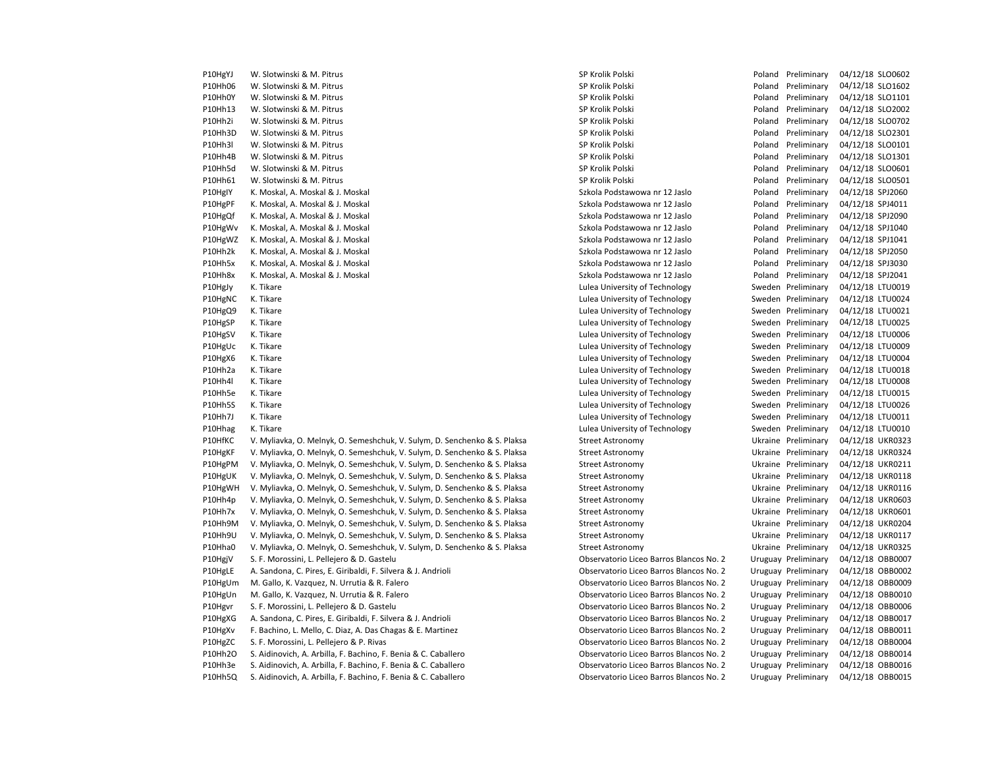| P10HgYJ            | W. Slotwinski & M. Pitrus                                                                                                         | SP Krolik Polski                                                                   | Poland Preliminary                          | 04/12/18 SLO0602                          |
|--------------------|-----------------------------------------------------------------------------------------------------------------------------------|------------------------------------------------------------------------------------|---------------------------------------------|-------------------------------------------|
| P10Hh06            | W. Slotwinski & M. Pitrus                                                                                                         | SP Krolik Polski                                                                   | Poland Preliminary                          | 04/12/18 SLO1602                          |
| P10Hh0Y            | W. Slotwinski & M. Pitrus                                                                                                         | SP Krolik Polski                                                                   | Poland Preliminary                          | 04/12/18 SLO1101                          |
| P10Hh13            | W. Slotwinski & M. Pitrus                                                                                                         | SP Krolik Polski                                                                   | Poland Preliminary                          | 04/12/18 SLO2002                          |
| P10Hh2i            | W. Slotwinski & M. Pitrus                                                                                                         | SP Krolik Polski                                                                   | Poland Preliminary                          | 04/12/18 SLO0702                          |
| P10Hh3D            | W. Slotwinski & M. Pitrus                                                                                                         | SP Krolik Polski                                                                   | Poland Preliminary                          | 04/12/18 SLO2301                          |
| P10Hh3I            | W. Slotwinski & M. Pitrus                                                                                                         | SP Krolik Polski                                                                   | Poland Preliminary                          | 04/12/18 SLO0101                          |
| P10Hh4B            | W. Slotwinski & M. Pitrus                                                                                                         | SP Krolik Polski                                                                   | Poland Preliminary                          | 04/12/18 SLO1301                          |
| P10Hh5d            | W. Slotwinski & M. Pitrus                                                                                                         | SP Krolik Polski                                                                   | Poland Preliminary                          | 04/12/18 SLO0601                          |
| P10Hh61            | W. Slotwinski & M. Pitrus                                                                                                         | SP Krolik Polski                                                                   | Poland Preliminary                          | 04/12/18 SLO0501                          |
| P10HgIY            | K. Moskal, A. Moskal & J. Moskal                                                                                                  | Szkola Podstawowa nr 12 Jaslo                                                      | Poland Preliminary                          | 04/12/18 SPJ2060                          |
| P10HgPF            | K. Moskal, A. Moskal & J. Moskal                                                                                                  | Szkola Podstawowa nr 12 Jaslo                                                      | Poland Preliminary                          | 04/12/18 SPJ4011                          |
| P10HgQf            | K. Moskal, A. Moskal & J. Moskal                                                                                                  | Szkola Podstawowa nr 12 Jaslo                                                      | Poland Preliminary                          | 04/12/18 SPJ2090                          |
| P10HgWv            | K. Moskal, A. Moskal & J. Moskal                                                                                                  | Szkola Podstawowa nr 12 Jaslo                                                      | Poland Preliminary                          | 04/12/18 SPJ1040                          |
| P10HgWZ            | K. Moskal, A. Moskal & J. Moskal                                                                                                  | Szkola Podstawowa nr 12 Jaslo                                                      | Poland Preliminary                          | 04/12/18 SPJ1041                          |
| P10Hh2k            | K. Moskal, A. Moskal & J. Moskal                                                                                                  | Szkola Podstawowa nr 12 Jaslo                                                      | Poland Preliminary                          | 04/12/18 SPJ2050                          |
| P10Hh5x            | K. Moskal, A. Moskal & J. Moskal                                                                                                  | Szkola Podstawowa nr 12 Jaslo                                                      | Poland Preliminary                          | 04/12/18 SPJ3030                          |
| P10Hh8x            | K. Moskal, A. Moskal & J. Moskal                                                                                                  | Szkola Podstawowa nr 12 Jaslo                                                      | Poland Preliminary                          | 04/12/18 SPJ2041                          |
| P10HgJy            | K. Tikare                                                                                                                         | Lulea University of Technology                                                     | Sweden Preliminary                          | 04/12/18 LTU0019                          |
| P10HgNC            | K. Tikare                                                                                                                         | Lulea University of Technology                                                     | Sweden Preliminary                          | 04/12/18 LTU0024                          |
| P10HgQ9            | K. Tikare                                                                                                                         | Lulea University of Technology                                                     | Sweden Preliminary                          | 04/12/18 LTU0021                          |
| P10HgSP            | K. Tikare                                                                                                                         | Lulea University of Technology                                                     | Sweden Preliminary                          | 04/12/18 LTU0025                          |
| P10HgSV            | K. Tikare                                                                                                                         | Lulea University of Technology                                                     | Sweden Preliminary                          | 04/12/18 LTU0006                          |
| P10HgUc            | K. Tikare                                                                                                                         | Lulea University of Technology                                                     | Sweden Preliminary                          | 04/12/18 LTU0009                          |
| P10HgX6            | K. Tikare                                                                                                                         | Lulea University of Technology                                                     | Sweden Preliminary                          | 04/12/18 LTU0004                          |
| P10Hh2a            | K. Tikare                                                                                                                         | Lulea University of Technology                                                     | Sweden Preliminary                          | 04/12/18 LTU0018                          |
| P10Hh4l            | K. Tikare                                                                                                                         | Lulea University of Technology                                                     | Sweden Preliminary                          | 04/12/18 LTU0008                          |
| P10Hh5e            | K. Tikare                                                                                                                         | Lulea University of Technology                                                     | Sweden Preliminary                          | 04/12/18 LTU0015                          |
| P10Hh5S            | K. Tikare                                                                                                                         | Lulea University of Technology                                                     | Sweden Preliminary                          | 04/12/18 LTU0026                          |
| P10Hh7J            | K. Tikare                                                                                                                         | Lulea University of Technology                                                     | Sweden Preliminary                          | 04/12/18 LTU0011                          |
| P10Hhag            | K. Tikare                                                                                                                         | Lulea University of Technology                                                     | Sweden Preliminary                          | 04/12/18 LTU0010                          |
| P10HfKC            | V. Myliavka, O. Melnyk, O. Semeshchuk, V. Sulym, D. Senchenko & S. Plaksa                                                         | Street Astronomy                                                                   | Ukraine Preliminary                         | 04/12/18 UKR0323                          |
| P10HgKF            | V. Myliavka, O. Melnyk, O. Semeshchuk, V. Sulym, D. Senchenko & S. Plaksa                                                         | <b>Street Astronomy</b>                                                            | Ukraine Preliminary                         | 04/12/18 UKR0324                          |
| P10HgPM            | V. Myliavka, O. Melnyk, O. Semeshchuk, V. Sulym, D. Senchenko & S. Plaksa                                                         | Street Astronomy                                                                   | Ukraine Preliminary                         | 04/12/18 UKR0211                          |
| P10HgUK            | V. Myliavka, O. Melnyk, O. Semeshchuk, V. Sulym, D. Senchenko & S. Plaksa                                                         | <b>Street Astronomy</b>                                                            | Ukraine Preliminary                         | 04/12/18 UKR0118                          |
| P10HgWH            | V. Myliavka, O. Melnyk, O. Semeshchuk, V. Sulym, D. Senchenko & S. Plaksa                                                         | <b>Street Astronomy</b>                                                            | Ukraine Preliminary                         | 04/12/18 UKR0116                          |
| P10Hh4p            | V. Myliavka, O. Melnyk, O. Semeshchuk, V. Sulym, D. Senchenko & S. Plaksa                                                         | <b>Street Astronomy</b>                                                            | Ukraine Preliminary                         | 04/12/18 UKR0603                          |
| P10Hh7x            | V. Myliavka, O. Melnyk, O. Semeshchuk, V. Sulym, D. Senchenko & S. Plaksa                                                         |                                                                                    | Ukraine Preliminary                         | 04/12/18 UKR0601                          |
|                    |                                                                                                                                   | Street Astronomy                                                                   |                                             | 04/12/18 UKR0204                          |
| P10Hh9M            | V. Myliavka, O. Melnyk, O. Semeshchuk, V. Sulym, D. Senchenko & S. Plaksa                                                         | Street Astronomy                                                                   | Ukraine Preliminary                         | 04/12/18 UKR0117                          |
| P10Hh9U            | V. Myliavka, O. Melnyk, O. Semeshchuk, V. Sulym, D. Senchenko & S. Plaksa                                                         | Street Astronomy                                                                   | Ukraine Preliminary                         | 04/12/18 UKR0325                          |
| P10Hha0            | V. Myliavka, O. Melnyk, O. Semeshchuk, V. Sulym, D. Senchenko & S. Plaksa                                                         | <b>Street Astronomy</b>                                                            | Ukraine Preliminary                         |                                           |
| P10HgjV            | S. F. Morossini, L. Pellejero & D. Gastelu                                                                                        | Observatorio Liceo Barros Blancos No. 2                                            | Uruguay Preliminary                         | 04/12/18 OBB0007                          |
| P10HgLE            | A. Sandona, C. Pires, E. Giribaldi, F. Silvera & J. Andrioli                                                                      | Observatorio Liceo Barros Blancos No. 2                                            | Uruguay Preliminary                         | 04/12/18 OBB0002                          |
| P10HgUm            | M. Gallo, K. Vazquez, N. Urrutia & R. Falero                                                                                      | Observatorio Liceo Barros Blancos No. 2                                            | Uruguay Preliminary                         | 04/12/18 OBB0009                          |
| P10HgUn            | M. Gallo, K. Vazquez, N. Urrutia & R. Falero                                                                                      | Observatorio Liceo Barros Blancos No. 2                                            | Uruguay Preliminary                         | 04/12/18 OBB0010                          |
| P10Hgvr            | S. F. Morossini, L. Pellejero & D. Gastelu                                                                                        | Observatorio Liceo Barros Blancos No. 2                                            | Uruguay Preliminary                         | 04/12/18 OBB0006                          |
| P10HgXG            | A. Sandona, C. Pires, E. Giribaldi, F. Silvera & J. Andrioli                                                                      | Observatorio Liceo Barros Blancos No. 2                                            | Uruguay Preliminary                         | 04/12/18 OBB0017                          |
| P10HgXv            | F. Bachino, L. Mello, C. Diaz, A. Das Chagas & E. Martinez                                                                        | Observatorio Liceo Barros Blancos No. 2                                            | Uruguay Preliminary                         | 04/12/18 OBB0011                          |
| P10HgZC            | S. F. Morossini, L. Pellejero & P. Rivas                                                                                          | Observatorio Liceo Barros Blancos No. 2                                            | Uruguay Preliminary                         | 04/12/18 OBB0004                          |
| P10Hh2O            | S. Aidinovich, A. Arbilla, F. Bachino, F. Benia & C. Caballero                                                                    | Observatorio Liceo Barros Blancos No. 2                                            | Uruguay Preliminary                         | 04/12/18 OBB0014                          |
| P10Hh3e<br>D10UhEO | S. Aidinovich, A. Arbilla, F. Bachino, F. Benia & C. Caballero<br>C. Aidinovich, A. Arbillo, E. Pachino, E. Bonia B. C. Caballoro | Observatorio Liceo Barros Blancos No. 2<br>Obconvatorio Licoo Parros Plancos No. 3 | Uruguay Preliminary<br>Uruguay, Droliminany | 04/12/18 OBB0016<br>$0.111110$ $0.000015$ |
|                    |                                                                                                                                   |                                                                                    |                                             |                                           |